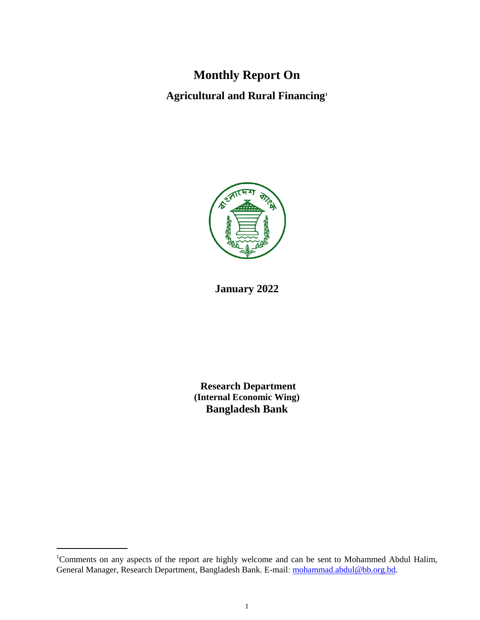# **Monthly Report On**

**Agricultural and Rural Financing<sup>1</sup>**



## **January 2022**

**Research Department (Internal Economic Wing) Bangladesh Bank**

<sup>&</sup>lt;sup>1</sup>Comments on any aspects of the report are highly welcome and can be sent to Mohammed Abdul Halim, General Manager, Research Department, Bangladesh Bank. E-mail: [mohammad.abdul@bb.org.bd](mailto:mohammad.abdul@bb.org.bd).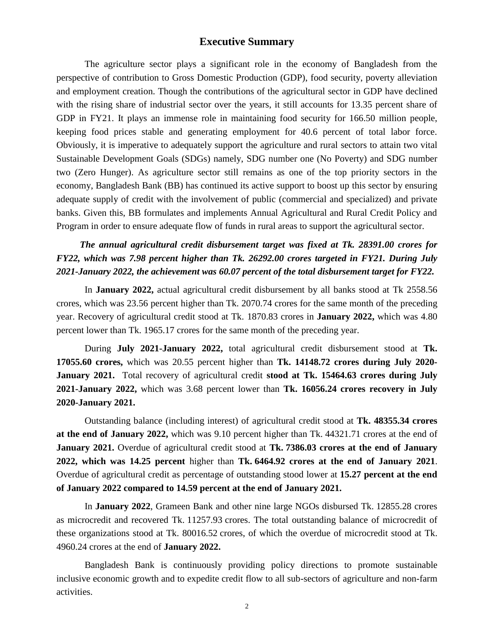### **Executive Summary**

The agriculture sector plays a significant role in the economy of Bangladesh from the perspective of contribution to Gross Domestic Production (GDP), food security, poverty alleviation and employment creation. Though the contributions of the agricultural sector in GDP have declined with the rising share of industrial sector over the years, it still accounts for 13.35 percent share of GDP in FY21. It plays an immense role in maintaining food security for 166.50 million people, keeping food prices stable and generating employment for 40.6 percent of total labor force. Obviously, it is imperative to adequately support the agriculture and rural sectors to attain two vital Sustainable Development Goals (SDGs) namely, SDG number one (No Poverty) and SDG number two (Zero Hunger). As agriculture sector still remains as one of the top priority sectors in the economy, Bangladesh Bank (BB) has continued its active support to boost up this sector by ensuring adequate supply of credit with the involvement of public (commercial and specialized) and private banks. Given this, BB formulates and implements Annual Agricultural and Rural Credit Policy and Program in order to ensure adequate flow of funds in rural areas to support the agricultural sector.

## *The annual agricultural credit disbursement target was fixed at Tk. 28391.00 crores for FY22, which was 7.98 percent higher than Tk. 26292.00 crores targeted in FY21. During July 2021-January 2022, the achievement was 60.07 percent of the total disbursement target for FY22.*

In **January 2022,** actual agricultural credit disbursement by all banks stood at Tk 2558.56 crores, which was 23.56 percent higher than Tk. 2070.74 crores for the same month of the preceding year. Recovery of agricultural credit stood at Tk. 1870.83 crores in **January 2022,** which was 4.80 percent lower than Tk. 1965.17 crores for the same month of the preceding year.

During **July 2021-January 2022,** total agricultural credit disbursement stood at **Tk. 17055.60 crores,** which was 20.55 percent higher than **Tk. 14148.72 crores during July 2020- January 2021.** Total recovery of agricultural credit **stood at Tk. 15464.63 crores during July 2021-January 2022,** which was 3.68 percent lower than **Tk. 16056.24 crores recovery in July 2020-January 2021.**

Outstanding balance (including interest) of agricultural credit stood at **Tk. 48355.34 crores at the end of January 2022,** which was 9.10 percent higher than Tk. 44321.71 crores at the end of **January 2021.** Overdue of agricultural credit stood at **Tk. 7386.03 crores at the end of January 2022, which was 14.25 percent** higher than **Tk. 6464.92 crores at the end of January 2021**. Overdue of agricultural credit as percentage of outstanding stood lower at **15.27 percent at the end of January 2022 compared to 14.59 percent at the end of January 2021.**

In **January 2022**, Grameen Bank and other nine large NGOs disbursed Tk. 12855.28 crores as microcredit and recovered Tk. 11257.93 crores. The total outstanding balance of microcredit of these organizations stood at Tk. 80016.52 crores, of which the overdue of microcredit stood at Tk. 4960.24 crores at the end of **January 2022.**

Bangladesh Bank is continuously providing policy directions to promote sustainable inclusive economic growth and to expedite credit flow to all sub-sectors of agriculture and non-farm activities.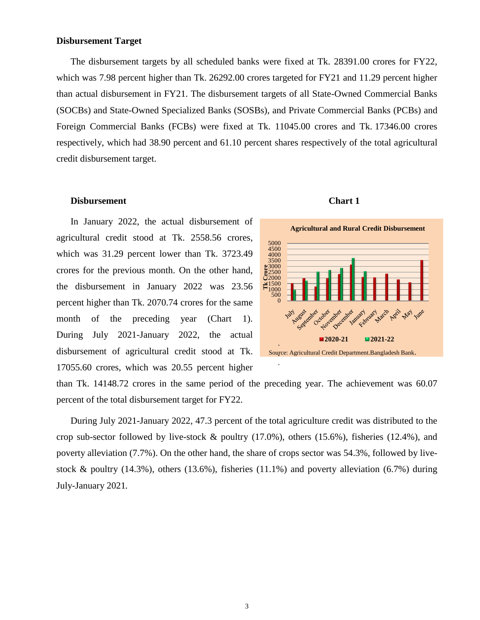#### **Disbursement Target**

The disbursement targets by all scheduled banks were fixed at Tk. 28391.00 crores for FY22, which was 7.98 percent higher than Tk. 26292.00 crores targeted for FY21 and 11.29 percent higher than actual disbursement in FY21. The disbursement targets of all State-Owned Commercial Banks (SOCBs) and State-Owned Specialized Banks (SOSBs), and Private Commercial Banks (PCBs) and Foreign Commercial Banks (FCBs) were fixed at Tk. 11045.00 crores and Tk. 17346.00 crores respectively, which had 38.90 percent and 61.10 percent shares respectively of the total agricultural credit disbursement target.

#### **Disbursement** Chart 1

In January 2022, the actual disbursement of agricultural credit stood at Tk. 2558.56 crores, which was 31.29 percent lower than Tk. 3723.49 crores for the previous month. On the other hand, the disbursement in January 2022 was 23.56 percent higher than Tk. 2070.74 crores for the same month of the preceding year (Chart 1). During July 2021-January 2022, the actual disbursement of agricultural credit stood at Tk. 17055.60 crores, which was 20.55 percent higher



than Tk. 14148.72 crores in the same period of the preceding year. The achievement was 60.07 percent of the total disbursement target for FY22.

During July 2021-January 2022, 47.3 percent of the total agriculture credit was distributed to the crop sub-sector followed by live-stock & poultry (17.0%), others (15.6%), fisheries (12.4%), and poverty alleviation (7.7%). On the other hand, the share of crops sector was 54.3%, followed by livestock & poultry (14.3%), others (13.6%), fisheries (11.1%) and poverty alleviation (6.7%) during July-January 2021*.*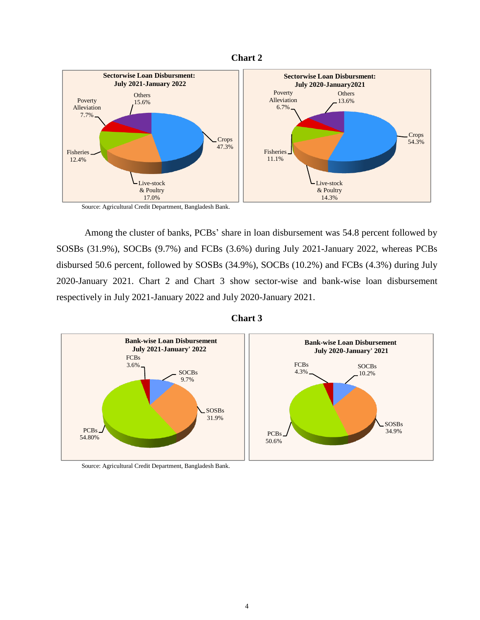



Source: Agricultural Credit Department, Bangladesh Bank.

Among the cluster of banks, PCBs' share in loan disbursement was 54.8 percent followed by SOSBs (31.9%), SOCBs (9.7%) and FCBs (3.6%) during July 2021-January 2022, whereas PCBs disbursed 50.6 percent, followed by SOSBs (34.9%), SOCBs (10.2%) and FCBs (4.3%) during July 2020-January 2021. Chart 2 and Chart 3 show sector-wise and bank-wise loan disbursement respectively in July 2021-January 2022 and July 2020-January 2021.





Source: Agricultural Credit Department, Bangladesh Bank.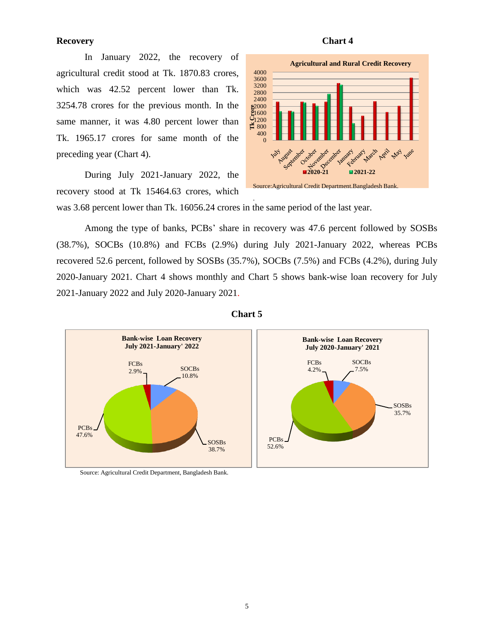#### **Recovery** Chart 4

In January 2022, the recovery of agricultural credit stood at Tk. 1870.83 crores, which was 42.52 percent lower than Tk. 3254.78 crores for the previous month. In the same manner, it was 4.80 percent lower than Tk. 1965.17 crores for same month of the preceding year (Chart 4).

During July 2021-January 2022, the recovery stood at Tk 15464.63 crores, which





was 3.68 percent lower than Tk. 16056.24 crores in the same period of the last year.

Among the type of banks, PCBs' share in recovery was 47.6 percent followed by SOSBs (38.7%), SOCBs (10.8%) and FCBs (2.9%) during July 2021-January 2022, whereas PCBs recovered 52.6 percent, followed by SOSBs (35.7%), SOCBs (7.5%) and FCBs (4.2%), during July 2020-January 2021. Chart 4 shows monthly and Chart 5 shows bank-wise loan recovery for July 2021-January 2022 and July 2020-January 2021.

.





Source: Agricultural Credit Department, Bangladesh Bank.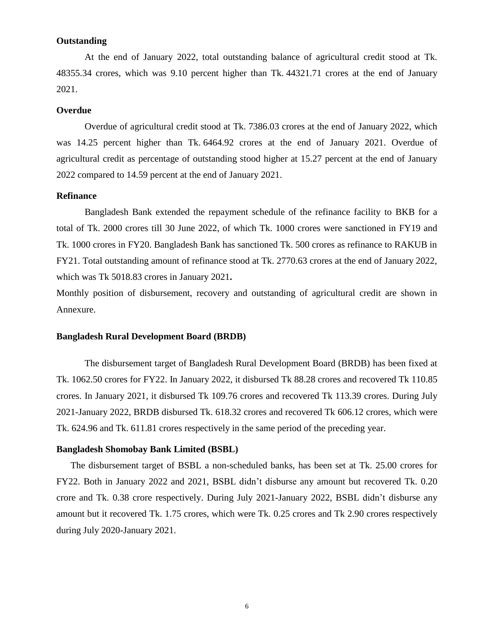#### **Outstanding**

At the end of January 2022, total outstanding balance of agricultural credit stood at Tk. 48355.34 crores, which was 9.10 percent higher than Tk. 44321.71 crores at the end of January 2021.

#### **Overdue**

Overdue of agricultural credit stood at Tk. 7386.03 crores at the end of January 2022, which was 14.25 percent higher than Tk. 6464.92 crores at the end of January 2021. Overdue of agricultural credit as percentage of outstanding stood higher at 15.27 percent at the end of January 2022 compared to 14.59 percent at the end of January 2021.

### **Refinance**

Bangladesh Bank extended the repayment schedule of the refinance facility to BKB for a total of Tk. 2000 crores till 30 June 2022, of which Tk. 1000 crores were sanctioned in FY19 and Tk. 1000 crores in FY20. Bangladesh Bank has sanctioned Tk. 500 crores as refinance to RAKUB in FY21. Total outstanding amount of refinance stood at Tk. 2770.63 crores at the end of January 2022, which was Tk 5018.83 crores in January 2021**.**

Monthly position of disbursement, recovery and outstanding of agricultural credit are shown in Annexure.

#### **Bangladesh Rural Development Board (BRDB)**

The disbursement target of Bangladesh Rural Development Board (BRDB) has been fixed at Tk. 1062.50 crores for FY22. In January 2022, it disbursed Tk 88.28 crores and recovered Tk 110.85 crores. In January 2021, it disbursed Tk 109.76 crores and recovered Tk 113.39 crores. During July 2021-January 2022, BRDB disbursed Tk. 618.32 crores and recovered Tk 606.12 crores, which were Tk. 624.96 and Tk. 611.81 crores respectively in the same period of the preceding year.

#### **Bangladesh Shomobay Bank Limited (BSBL)**

The disbursement target of BSBL a non-scheduled banks, has been set at Tk. 25.00 crores for FY22. Both in January 2022 and 2021, BSBL didn't disburse any amount but recovered Tk. 0.20 crore and Tk. 0.38 crore respectively. During July 2021-January 2022, BSBL didn't disburse any amount but it recovered Tk. 1.75 crores, which were Tk. 0.25 crores and Tk 2.90 crores respectively during July 2020-January 2021.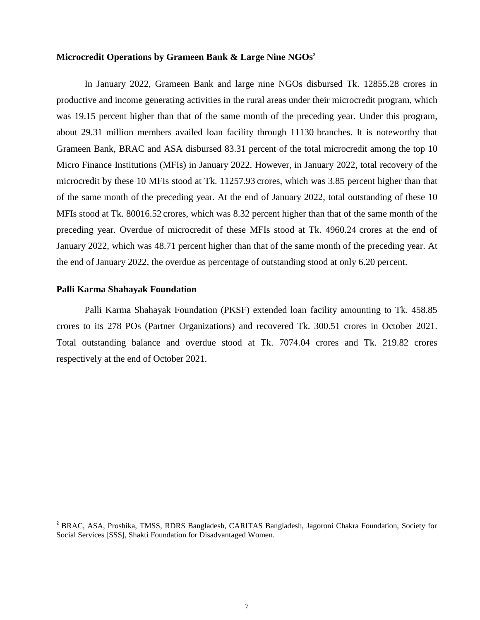#### **Microcredit Operations by Grameen Bank & Large Nine NGOs<sup>2</sup>**

In January 2022, Grameen Bank and large nine NGOs disbursed Tk. 12855.28 crores in productive and income generating activities in the rural areas under their microcredit program, which was 19.15 percent higher than that of the same month of the preceding year. Under this program, about 29.31 million members availed loan facility through 11130 branches. It is noteworthy that Grameen Bank, BRAC and ASA disbursed 83.31 percent of the total microcredit among the top 10 Micro Finance Institutions (MFIs) in January 2022. However, in January 2022, total recovery of the microcredit by these 10 MFIs stood at Tk. 11257.93 crores, which was 3.85 percent higher than that of the same month of the preceding year. At the end of January 2022, total outstanding of these 10 MFIs stood at Tk. 80016.52 crores, which was 8.32 percent higher than that of the same month of the preceding year. Overdue of microcredit of these MFIs stood at Tk. 4960.24 crores at the end of January 2022, which was 48.71 percent higher than that of the same month of the preceding year. At the end of January 2022, the overdue as percentage of outstanding stood at only 6.20 percent.

#### **Palli Karma Shahayak Foundation**

Palli Karma Shahayak Foundation (PKSF) extended loan facility amounting to Tk. 458.85 crores to its 278 POs (Partner Organizations) and recovered Tk. 300.51 crores in October 2021. Total outstanding balance and overdue stood at Tk. 7074.04 crores and Tk. 219.82 crores respectively at the end of October 2021.

<sup>2</sup> BRAC, ASA, Proshika, TMSS, RDRS Bangladesh, CARITAS Bangladesh, Jagoroni Chakra Foundation, Society for Social Services [SSS], Shakti Foundation for Disadvantaged Women.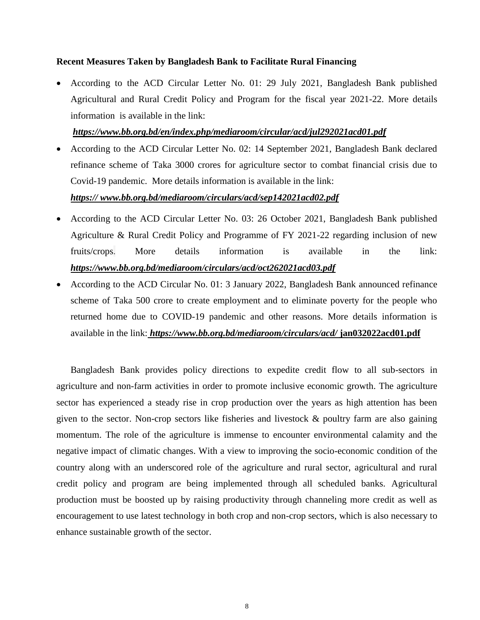#### **Recent Measures Taken by Bangladesh Bank to Facilitate Rural Financing**

 According to the ACD Circular Letter No. 01: 29 July 2021, Bangladesh Bank published Agricultural and Rural Credit Policy and Program for the fiscal year 2021-22. More details information is available in the link:

#### *https://www.bb.org.bd/en/index.php/mediaroom/circular/acd/jul292021acd01.pdf*

• According to the ACD Circular Letter No. 02: 14 September 2021, Bangladesh Bank declared refinance scheme of Taka 3000 crores for agriculture sector to combat financial crisis due to Covid-19 pandemic. More details information is available in the link:

### *https:// www.bb.org.bd/mediaroom/circulars/acd/sep142021acd02.pdf*

- According to the ACD Circular Letter No. 03: 26 October 2021, Bangladesh Bank published Agriculture & Rural Credit Policy and Programme of FY 2021-22 regarding inclusion of new fruits/crops. More details information is available in the link: *<https://www.bb.org.bd/mediaroom/circulars/acd/oct262021acd03.pdf>*
- According to the ACD Circular No. 01: 3 January 2022, Bangladesh Bank announced refinance scheme of Taka 500 crore to create employment and to eliminate poverty for the people who returned home due to COVID-19 pandemic and other reasons. More details information is available in the link: *https://www.bb.org.bd/mediaroom/circulars/acd/* **jan032022acd01.pdf**

Bangladesh Bank provides policy directions to expedite credit flow to all sub-sectors in agriculture and non-farm activities in order to promote inclusive economic growth. The agriculture sector has experienced a steady rise in crop production over the years as high attention has been given to the sector. Non-crop sectors like fisheries and livestock & poultry farm are also gaining momentum. The role of the agriculture is immense to encounter environmental calamity and the negative impact of climatic changes. With a view to improving the socio-economic condition of the country along with an underscored role of the agriculture and rural sector, agricultural and rural credit policy and program are being implemented through all scheduled banks. Agricultural production must be boosted up by raising productivity through channeling more credit as well as encouragement to use latest technology in both crop and non-crop sectors, which is also necessary to enhance sustainable growth of the sector.